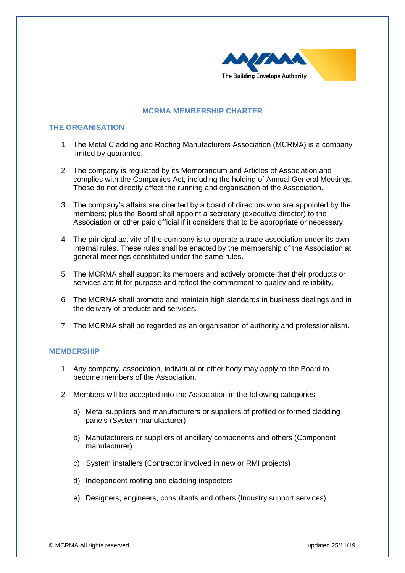

# **MCRMA MEMBERSHIP CHARTER**

# **THE ORGANISATION**

- 1 The Metal Cladding and Roofing Manufacturers Association (MCRMA) is a company limited by guarantee.
- 2 The company is regulated by its Memorandum and Articles of Association and complies with the Companies Act, including the holding of Annual General Meetings. These do not directly affect the running and organisation of the Association.
- 3 The company's affairs are directed by a board of directors who are appointed by the members; plus the Board shall appoint a secretary (executive director) to the Association or other paid official if it considers that to be appropriate or necessary.
- 4 The principal activity of the company is to operate a trade association under its own internal rules. These rules shall be enacted by the membership of the Association at general meetings constituted under the same rules.
- 5 The MCRMA shall support its members and actively promote that their products or services are fit for purpose and reflect the commitment to quality and reliability.
- 6 The MCRMA shall promote and maintain high standards in business dealings and in the delivery of products and services.
- 7 The MCRMA shall be regarded as an organisation of authority and professionalism.

## **MEMBERSHIP**

- 1 Any company, association, individual or other body may apply to the Board to become members of the Association.
- 2 Members will be accepted into the Association in the following categories:
	- a) Metal suppliers and manufacturers or suppliers of profiled or formed cladding panels (System manufacturer)
	- b) Manufacturers or suppliers of ancillary components and others (Component manufacturer)
	- c) System installers (Contractor involved in new or RMI projects)
	- d) Independent roofing and cladding inspectors
	- e) Designers, engineers, consultants and others (Industry support services)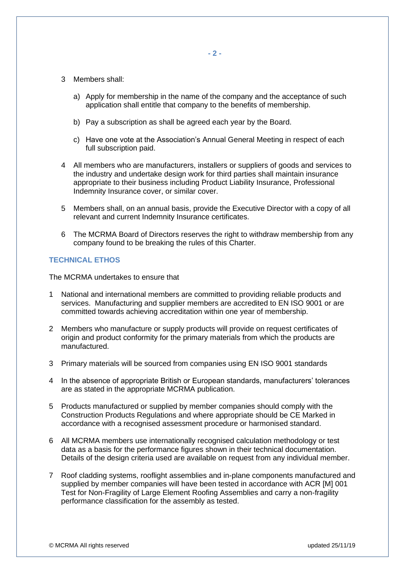- 3 Members shall:
	- a) Apply for membership in the name of the company and the acceptance of such application shall entitle that company to the benefits of membership.
	- b) Pay a subscription as shall be agreed each year by the Board.
	- c) Have one vote at the Association's Annual General Meeting in respect of each full subscription paid.
- 4 All members who are manufacturers, installers or suppliers of goods and services to the industry and undertake design work for third parties shall maintain insurance appropriate to their business including Product Liability Insurance, Professional Indemnity Insurance cover, or similar cover.
- 5 Members shall, on an annual basis, provide the Executive Director with a copy of all relevant and current Indemnity Insurance certificates.
- 6 The MCRMA Board of Directors reserves the right to withdraw membership from any company found to be breaking the rules of this Charter.

## **TECHNICAL ETHOS**

The MCRMA undertakes to ensure that

- 1 National and international members are committed to providing reliable products and services. Manufacturing and supplier members are accredited to EN ISO 9001 or are committed towards achieving accreditation within one year of membership.
- 2 Members who manufacture or supply products will provide on request certificates of origin and product conformity for the primary materials from which the products are manufactured.
- 3 Primary materials will be sourced from companies using EN ISO 9001 standards
- 4 In the absence of appropriate British or European standards, manufacturers' tolerances are as stated in the appropriate MCRMA publication.
- 5 Products manufactured or supplied by member companies should comply with the Construction Products Regulations and where appropriate should be CE Marked in accordance with a recognised assessment procedure or harmonised standard.
- 6 All MCRMA members use internationally recognised calculation methodology or test data as a basis for the performance figures shown in their technical documentation. Details of the design criteria used are available on request from any individual member.
- 7 Roof cladding systems, rooflight assemblies and in-plane components manufactured and supplied by member companies will have been tested in accordance with ACR [M] 001 Test for Non-Fragility of Large Element Roofing Assemblies and carry a non-fragility performance classification for the assembly as tested.